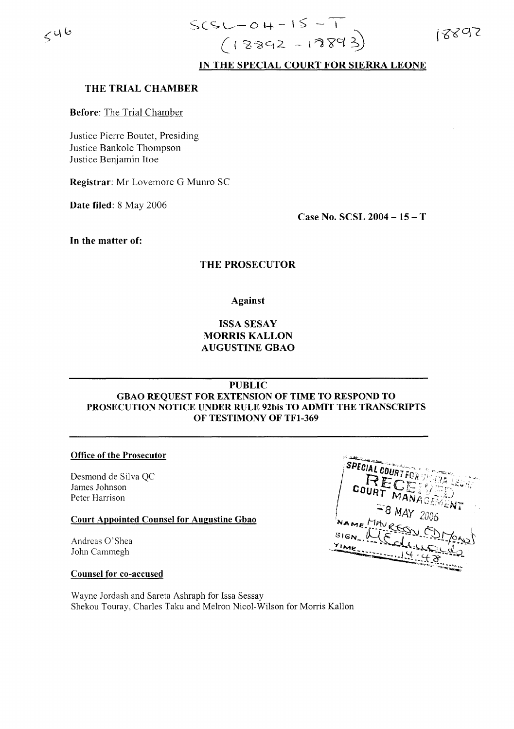$546$ 

# **IN THE SPECIAL COURT FOR SIERRA LEONE**

#### **THE TRIAL CHAMBER**

**Before:** The Trial Chamber

Justice Pierre Boutet, Presiding Justice Bankole Thompson Justice Benjamin Hoe

**Registrar:** Mr Lovemore G Munro SC

**Date filed:** 8 May 2006

**Case No. SCSL 2004 -15** - T

**In the matter of:**

### **THE PROSECUTOR**

**Against**

## **ISSA SESAY MORRIS KALLON AUGUSTINE GBAO**

**PUBLIC**

## **GBAO REQUEST FOR EXTENSION OF TIME TO RESPOND TO PROSECUTION NOTICE UNDER RULE 92bis TO ADMIT THE TRANSCRIPTS OF TESTIMONY OF TFI-369**

#### **Office of the Prosecutor**

Desmond de Silva QC James Johnson Peter Harrison

#### **Court Appointed Counsel for Augustine Gbao**

Andreas O'Shea John Cammegh

#### **Counsel for co-accused**

Wayne Jordash and Sareta Ashraph for Issa Sessay Shekou Touray, Charles Taku and Melron Nicol-Wilson for Morris Kallon

SPECIAL COUR  $8$  MAY